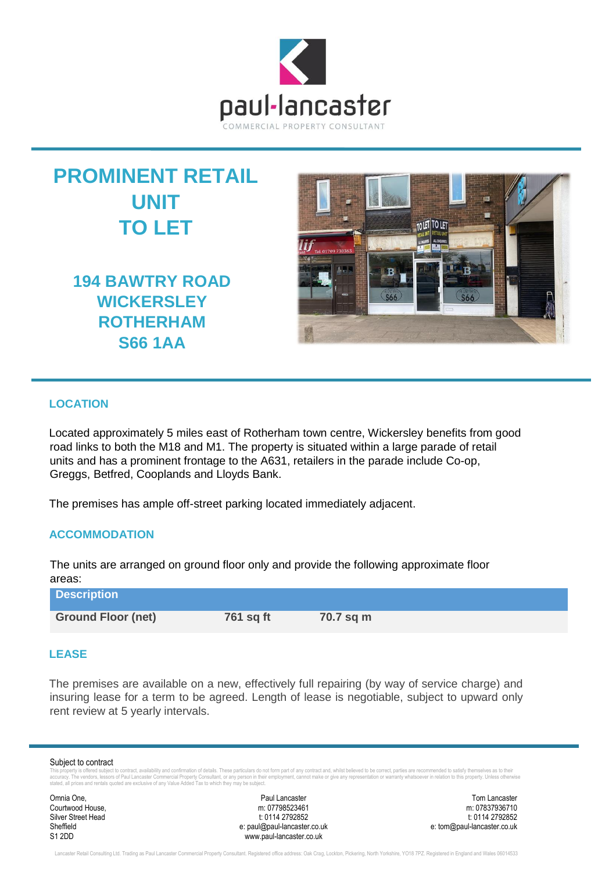



**194 BAWTRY ROAD WICKERSLEY ROTHERHAM S66 1AA**



# **LOCATION**

Located approximately 5 miles east of Rotherham town centre, Wickersley benefits from good road links to both the M18 and M1. The property is situated within a large parade of retail units and has a prominent frontage to the A631, retailers in the parade include Co-op, Greggs, Betfred, Cooplands and Lloyds Bank.

The premises has ample off-street parking located immediately adjacent.

# **ACCOMMODATION**

The units are arranged on ground floor only and provide the following approximate floor areas:

| <b>Description</b>        |           |           |
|---------------------------|-----------|-----------|
| <b>Ground Floor (net)</b> | 761 sq ft | 70.7 sq m |

#### **LEASE**

The premises are available on a new, effectively full repairing (by way of service charge) and insuring lease for a term to be agreed. Length of lease is negotiable, subject to upward only rent review at 5 yearly intervals.

#### Subject to contract

This property is offered subject to contract, availability and confirmation of details. These particulars do not form part of any contract and, whilst believed to be correct, parties are recommended to satisfy themselves a

Courtwood House,

Omnia One, Paul Lancaster Tom Lancaster Silver Street Head t: 0114 2792852 t: 0114 2792852 t: 0114 2792852 t: 0114 2792852 t: 0114 2792852 t: 0114 2792852<br>e: paul@paul-lancaster.co.uk e: tom@paul-lancaster.co.uk Sheffield Sheffield e: paul@paul-lancaster.co.uk S1 2DD www.paul-lancaster.co.uk

Lancaster Retail Consulting Ltd. Trading as Paul Lancaster Commercial Property Consultant. Registered office address: Oak Crag, Lockton, Pickering, North Yorkshire, YO18 7PZ. Registered in England and Wales 06014533